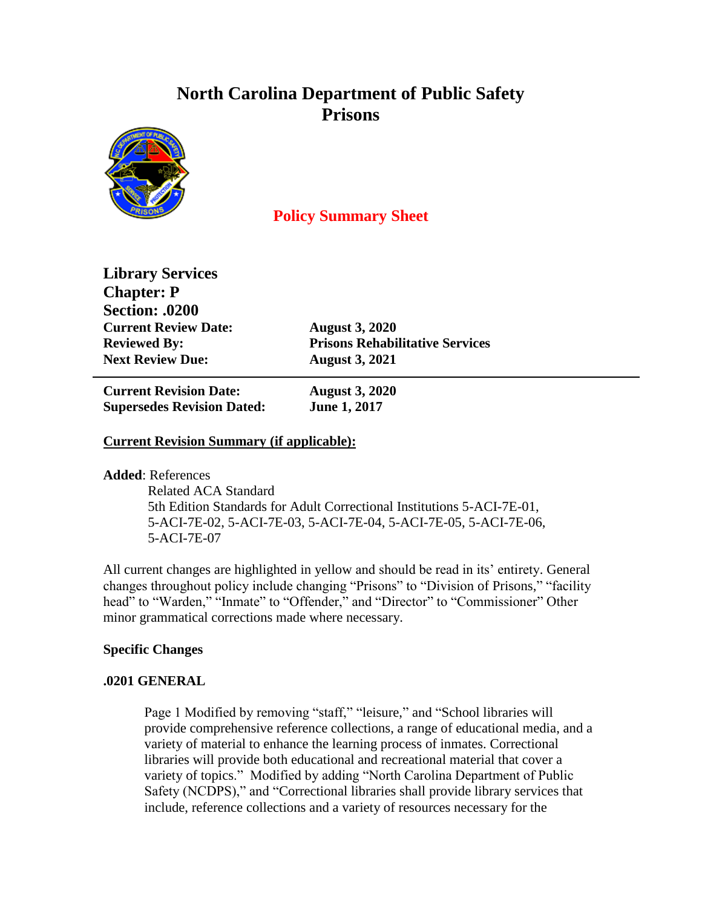# **North Carolina Department of Public Safety Prisons**



## **Policy Summary Sheet**

**Library Services Chapter: P Section: .0200 Current Review Date: August 3, 2020 Next Review Due: August 3, 2021**

**Reviewed By: Prisons Rehabilitative Services**

**Current Revision Date: August 3, 2020 Supersedes Revision Dated: June 1, 2017**

### **Current Revision Summary (if applicable):**

**Added**: References

 Related ACA Standard 5th Edition Standards for Adult Correctional Institutions 5-ACI-7E-01, 5-ACI-7E-02, 5-ACI-7E-03, 5-ACI-7E-04, 5-ACI-7E-05, 5-ACI-7E-06, 5-ACI-7E-07

All current changes are highlighted in yellow and should be read in its' entirety. General changes throughout policy include changing "Prisons" to "Division of Prisons," "facility head" to "Warden," "Inmate" to "Offender," and "Director" to "Commissioner" Other minor grammatical corrections made where necessary.

#### **Specific Changes**

#### **.0201 GENERAL**

Page 1 Modified by removing "staff," "leisure," and "School libraries will provide comprehensive reference collections, a range of educational media, and a variety of material to enhance the learning process of inmates. Correctional libraries will provide both educational and recreational material that cover a variety of topics." Modified by adding "North Carolina Department of Public Safety (NCDPS)," and "Correctional libraries shall provide library services that include, reference collections and a variety of resources necessary for the